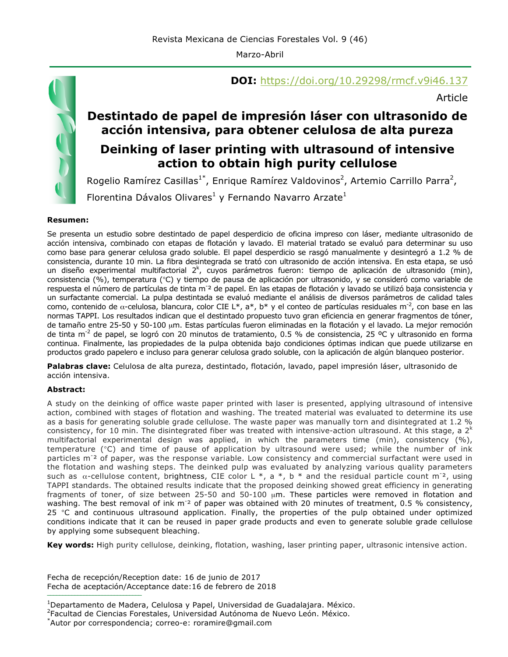Marzo-Abril



## **DOI:** https://doi.org/10.29298/rmcf.v9i46.137

Article

# **Destintado de papel de impresión láser con ultrasonido de acción intensiva, para obtener celulosa de alta pureza**

## **Deinking of laser printing with ultrasound of intensive action to obtain high purity cellulose**

Rogelio Ramírez Casillas<sup>1\*</sup>, Enrique Ramírez Valdovinos<sup>2</sup>, Artemio Carrillo Parra<sup>2</sup>, Florentina Dávalos Olivares<sup>1</sup> y Fernando Navarro Arzate<sup>1</sup>

#### **Resumen:**

Se presenta un estudio sobre destintado de papel desperdicio de oficina impreso con láser, mediante ultrasonido de acción intensiva, combinado con etapas de flotación y lavado. El material tratado se evaluó para determinar su uso como base para generar celulosa grado soluble. El papel desperdicio se rasgó manualmente y desintegró a 1.2 % de consistencia, durante 10 min. La fibra desintegrada se trató con ultrasonido de acción intensiva. En esta etapa, se usó un diseño experimental multifactorial 2<sup>k</sup>, cuyos parámetros fueron: tiempo de aplicación de ultrasonido (min), consistencia (%), temperatura (°C) y tiempo de pausa de aplicación por ultrasonido, y se consideró como variable de respuesta el número de partículas de tinta m<sup>-2</sup> de papel. En las etapas de flotación y lavado se utilizó baja consistencia y un surfactante comercial. La pulpa destintada se evaluó mediante el análisis de diversos parámetros de calidad tales como, contenido de α-celulosa, blancura, color CIE L\*, a\*, b\* y el conteo de partículas residuales m<sup>-2</sup>, con base en las normas TAPPI. Los resultados indican que el destintado propuesto tuvo gran eficiencia en generar fragmentos de tóner, de tamaño entre 25-50 y 50-100 µm. Estas partículas fueron eliminadas en la flotación y el lavado. La mejor remoción de tinta m<sup>-2</sup> de papel, se logró con 20 minutos de tratamiento, 0.5 % de consistencia, 25 °C y ultrasonido en forma continua. Finalmente, las propiedades de la pulpa obtenida bajo condiciones óptimas indican que puede utilizarse en productos grado papelero e incluso para generar celulosa grado soluble, con la aplicación de algún blanqueo posterior.

**Palabras clave:** Celulosa de alta pureza, destintado, flotación, lavado, papel impresión láser, ultrasonido de acción intensiva.

#### **Abstract:**

A study on the deinking of office waste paper printed with laser is presented, applying ultrasound of intensive action, combined with stages of flotation and washing. The treated material was evaluated to determine its use as a basis for generating soluble grade cellulose. The waste paper was manually torn and disintegrated at 1.2 % consistency, for 10 min. The disintegrated fiber was treated with intensive-action ultrasound. At this stage, a  $2<sup>k</sup>$ multifactorial experimental design was applied, in which the parameters time (min), consistency (%), temperature (°C) and time of pause of application by ultrasound were used; while the number of ink particles m<sup>-2</sup> of paper, was the response variable. Low consistency and commercial surfactant were used in the flotation and washing steps. The deinked pulp was evaluated by analyzing various quality parameters such as  $\alpha$ -cellulose content, brightness, CIE color L \*, a \*, b \* and the residual particle count m<sup>-2</sup>, using TAPPI standards. The obtained results indicate that the proposed deinking showed great efficiency in generating fragments of toner, of size between 25-50 and 50-100  $\mu$ m. These particles were removed in flotation and washing. The best removal of ink m<sup>-2</sup> of paper was obtained with 20 minutes of treatment, 0.5 % consistency, 25 °C and continuous ultrasound application. Finally, the properties of the pulp obtained under optimized conditions indicate that it can be reused in paper grade products and even to generate soluble grade cellulose by applying some subsequent bleaching.

**Key words:** High purity cellulose, deinking, flotation, washing, laser printing paper, ultrasonic intensive action.

Fecha de recepción/Reception date: 16 de junio de 2017 Fecha de aceptación/Acceptance date:16 de febrero de 2018 **\_\_\_\_\_\_\_\_\_\_\_\_\_\_\_\_\_\_\_\_\_\_\_\_\_\_\_\_\_\_\_**

<sup>&</sup>lt;sup>1</sup>Departamento de Madera, Celulosa y Papel, Universidad de Guadalajara. México.

<sup>2</sup> Facultad de Ciencias Forestales, Universidad Autónoma de Nuevo León. México.

<sup>\*</sup> Autor por correspondencia; correo-e: roramire@gmail.com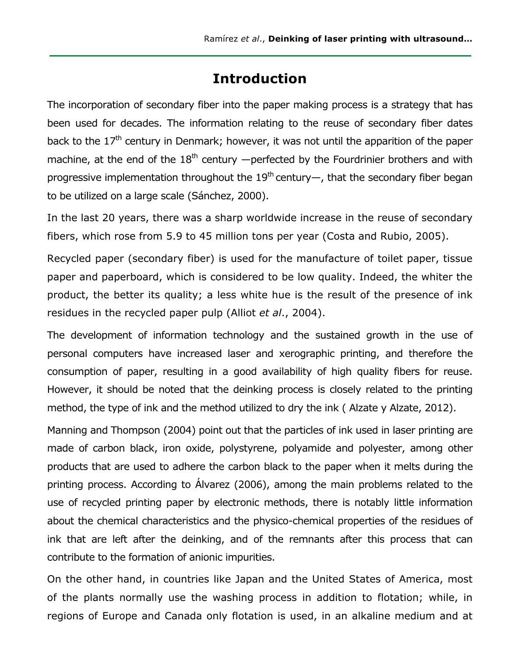# **Introduction**

The incorporation of secondary fiber into the paper making process is a strategy that has been used for decades. The information relating to the reuse of secondary fiber dates back to the 17<sup>th</sup> century in Denmark; however, it was not until the apparition of the paper machine, at the end of the  $18<sup>th</sup>$  century  $-p$ erfected by the Fourdrinier brothers and with progressive implementation throughout the 19<sup>th</sup> century—, that the secondary fiber began to be utilized on a large scale (Sánchez, 2000).

In the last 20 years, there was a sharp worldwide increase in the reuse of secondary fibers, which rose from 5.9 to 45 million tons per year (Costa and Rubio, 2005).

Recycled paper (secondary fiber) is used for the manufacture of toilet paper, tissue paper and paperboard, which is considered to be low quality. Indeed, the whiter the product, the better its quality; a less white hue is the result of the presence of ink residues in the recycled paper pulp (Alliot *et al*., 2004).

The development of information technology and the sustained growth in the use of personal computers have increased laser and xerographic printing, and therefore the consumption of paper, resulting in a good availability of high quality fibers for reuse. However, it should be noted that the deinking process is closely related to the printing method, the type of ink and the method utilized to dry the ink ( Alzate y Alzate, 2012).

Manning and Thompson (2004) point out that the particles of ink used in laser printing are made of carbon black, iron oxide, polystyrene, polyamide and polyester, among other products that are used to adhere the carbon black to the paper when it melts during the printing process. According to Álvarez (2006), among the main problems related to the use of recycled printing paper by electronic methods, there is notably little information about the chemical characteristics and the physico-chemical properties of the residues of ink that are left after the deinking, and of the remnants after this process that can contribute to the formation of anionic impurities.

On the other hand, in countries like Japan and the United States of America, most of the plants normally use the washing process in addition to flotation; while, in regions of Europe and Canada only flotation is used, in an alkaline medium and at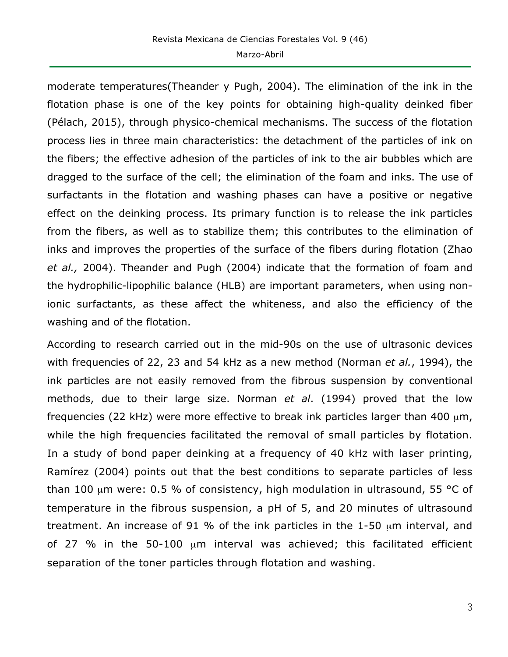moderate temperatures(Theander y Pugh, 2004). The elimination of the ink in the flotation phase is one of the key points for obtaining high-quality deinked fiber (Pélach, 2015), through physico-chemical mechanisms. The success of the flotation process lies in three main characteristics: the detachment of the particles of ink on the fibers; the effective adhesion of the particles of ink to the air bubbles which are dragged to the surface of the cell; the elimination of the foam and inks. The use of surfactants in the flotation and washing phases can have a positive or negative effect on the deinking process. Its primary function is to release the ink particles from the fibers, as well as to stabilize them; this contributes to the elimination of inks and improves the properties of the surface of the fibers during flotation (Zhao *et al.,* 2004). Theander and Pugh (2004) indicate that the formation of foam and the hydrophilic-lipophilic balance (HLB) are important parameters, when using nonionic surfactants, as these affect the whiteness, and also the efficiency of the washing and of the flotation.

According to research carried out in the mid-90s on the use of ultrasonic devices with frequencies of 22, 23 and 54 kHz as a new method (Norman *et al.*, 1994), the ink particles are not easily removed from the fibrous suspension by conventional methods, due to their large size. Norman *et al*. (1994) proved that the low frequencies (22 kHz) were more effective to break ink particles larger than 400  $\mu$ m, while the high frequencies facilitated the removal of small particles by flotation. In a study of bond paper deinking at a frequency of 40 kHz with laser printing, Ramírez (2004) points out that the best conditions to separate particles of less than 100  $\mu$ m were: 0.5 % of consistency, high modulation in ultrasound, 55 °C of temperature in the fibrous suspension, a pH of 5, and 20 minutes of ultrasound treatment. An increase of 91 % of the ink particles in the 1-50 µm interval, and of 27 % in the 50-100 µm interval was achieved; this facilitated efficient separation of the toner particles through flotation and washing.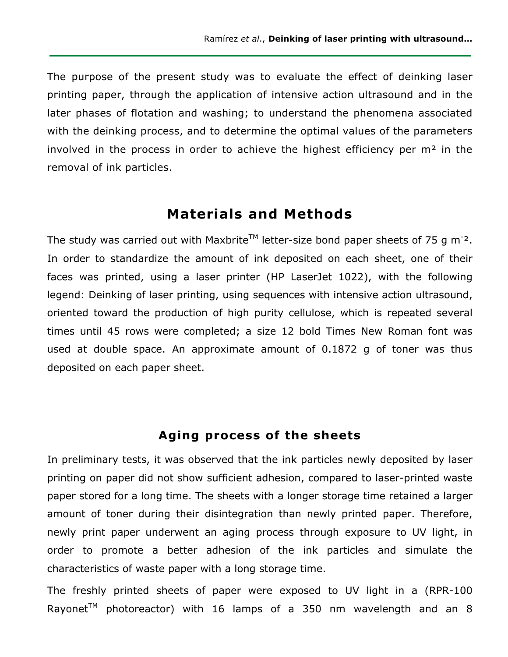The purpose of the present study was to evaluate the effect of deinking laser printing paper, through the application of intensive action ultrasound and in the later phases of flotation and washing; to understand the phenomena associated with the deinking process, and to determine the optimal values of the parameters involved in the process in order to achieve the highest efficiency per  $m<sup>2</sup>$  in the removal of ink particles.

### **Materials and Methods**

The study was carried out with Maxbrite<sup>TM</sup> letter-size bond paper sheets of 75 g m<sup>-2</sup>. In order to standardize the amount of ink deposited on each sheet, one of their faces was printed, using a laser printer (HP LaserJet 1022), with the following legend: Deinking of laser printing, using sequences with intensive action ultrasound, oriented toward the production of high purity cellulose, which is repeated several times until 45 rows were completed; a size 12 bold Times New Roman font was used at double space. An approximate amount of 0.1872 g of toner was thus deposited on each paper sheet.

#### **Aging process of the sheets**

In preliminary tests, it was observed that the ink particles newly deposited by laser printing on paper did not show sufficient adhesion, compared to laser-printed waste paper stored for a long time. The sheets with a longer storage time retained a larger amount of toner during their disintegration than newly printed paper. Therefore, newly print paper underwent an aging process through exposure to UV light, in order to promote a better adhesion of the ink particles and simulate the characteristics of waste paper with a long storage time.

The freshly printed sheets of paper were exposed to UV light in a (RPR-100 Rayonet<sup>TM</sup> photoreactor) with 16 lamps of a 350 nm wavelength and an 8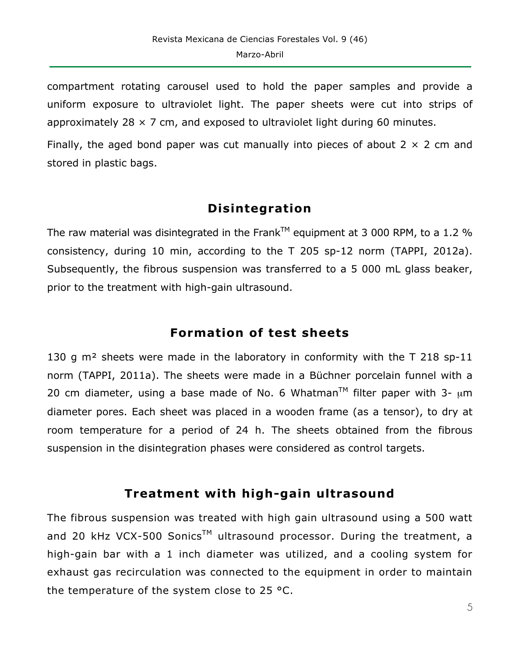compartment rotating carousel used to hold the paper samples and provide a uniform exposure to ultraviolet light. The paper sheets were cut into strips of approximately 28  $\times$  7 cm, and exposed to ultraviolet light during 60 minutes.

Finally, the aged bond paper was cut manually into pieces of about  $2 \times 2$  cm and stored in plastic bags.

# **Disintegration**

The raw material was disintegrated in the Frank<sup>TM</sup> equipment at 3 000 RPM, to a 1.2 % consistency, during 10 min, according to the T 205 sp-12 norm (TAPPI, 2012a). Subsequently, the fibrous suspension was transferred to a 5 000 mL glass beaker, prior to the treatment with high-gain ultrasound.

# **Formation of test sheets**

130 g m<sup>2</sup> sheets were made in the laboratory in conformity with the T 218 sp-11 norm (TAPPI, 2011a). The sheets were made in a Büchner porcelain funnel with a 20 cm diameter, using a base made of No. 6 Whatman<sup>TM</sup> filter paper with 3-  $\mu$ m diameter pores. Each sheet was placed in a wooden frame (as a tensor), to dry at room temperature for a period of 24 h. The sheets obtained from the fibrous suspension in the disintegration phases were considered as control targets.

# **Treatment with high-gain ultrasound**

The fibrous suspension was treated with high gain ultrasound using a 500 watt and 20 kHz VCX-500 Sonics<sup>TM</sup> ultrasound processor. During the treatment, a high-gain bar with a 1 inch diameter was utilized, and a cooling system for exhaust gas recirculation was connected to the equipment in order to maintain the temperature of the system close to 25 °C.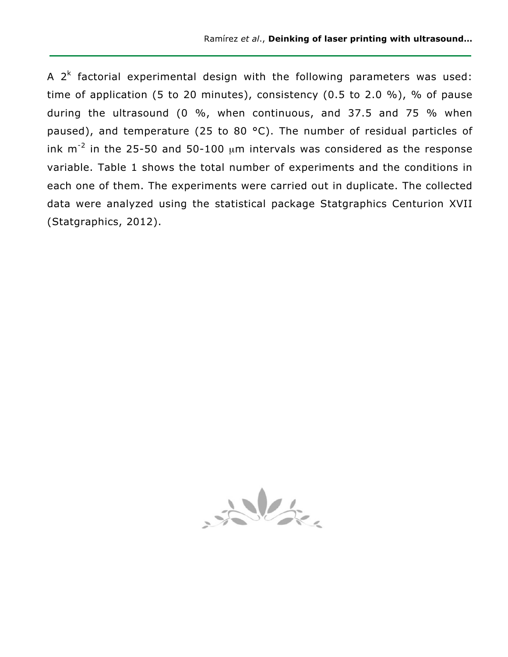A  $2<sup>k</sup>$  factorial experimental design with the following parameters was used: time of application (5 to 20 minutes), consistency (0.5 to 2.0 %), % of pause during the ultrasound (0 %, when continuous, and 37.5 and 75 % when paused), and temperature (25 to 80 °C). The number of residual particles of ink  $m^{-2}$  in the 25-50 and 50-100  $\mu$ m intervals was considered as the response variable. Table 1 shows the total number of experiments and the conditions in each one of them. The experiments were carried out in duplicate. The collected data were analyzed using the statistical package Statgraphics Centurion XVII (Statgraphics, 2012).

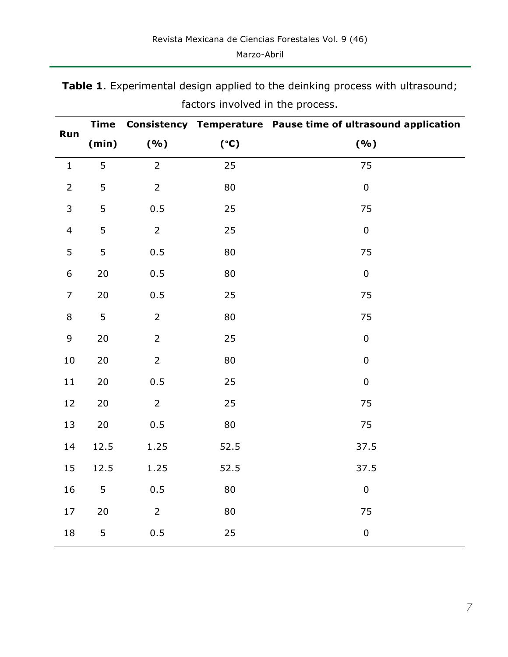| Run            | <b>Time</b> |                |      | Consistency Temperature Pause time of ultrasound application |
|----------------|-------------|----------------|------|--------------------------------------------------------------|
|                | (min)       | ( %)           | (°C) | ( %)                                                         |
| $\mathbf{1}$   | 5           | $\overline{2}$ | 25   | 75                                                           |
| $\overline{2}$ | 5           | $\overline{2}$ | 80   | $\pmb{0}$                                                    |
| 3              | 5           | 0.5            | 25   | 75                                                           |
| $\overline{4}$ | 5           | $\overline{2}$ | 25   | $\pmb{0}$                                                    |
| 5              | 5           | 0.5            | 80   | 75                                                           |
| 6              | $20\,$      | 0.5            | 80   | $\pmb{0}$                                                    |
| $\overline{7}$ | 20          | 0.5            | 25   | 75                                                           |
| 8              | 5           | $\overline{2}$ | 80   | 75                                                           |
| $\mathsf 9$    | 20          | $\overline{2}$ | 25   | $\pmb{0}$                                                    |
| $10\,$         | 20          | $\overline{2}$ | 80   | $\pmb{0}$                                                    |
| 11             | 20          | 0.5            | 25   | $\pmb{0}$                                                    |
| 12             | 20          | $\overline{2}$ | 25   | 75                                                           |
| 13             | 20          | 0.5            | 80   | 75                                                           |
| 14             | 12.5        | 1.25           | 52.5 | 37.5                                                         |
| 15             | 12.5        | 1.25           | 52.5 | 37.5                                                         |
| 16             | 5           | 0.5            | 80   | $\pmb{0}$                                                    |
| 17             | 20          | $\overline{2}$ | 80   | 75                                                           |
| 18             | 5           | 0.5            | 25   | $\pmb{0}$                                                    |

**Table 1**. Experimental design applied to the deinking process with ultrasound; factors involved in the process.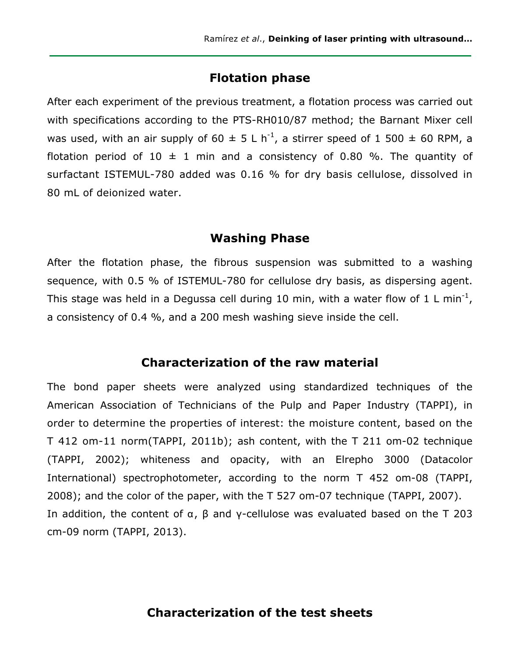### **Flotation phase**

After each experiment of the previous treatment, a flotation process was carried out with specifications according to the PTS-RH010/87 method; the Barnant Mixer cell was used, with an air supply of 60  $\pm$  5 L h<sup>-1</sup>, a stirrer speed of 1 500  $\pm$  60 RPM, a flotation period of 10  $\pm$  1 min and a consistency of 0.80 %. The quantity of surfactant ISTEMUL-780 added was 0.16 % for dry basis cellulose, dissolved in 80 mL of deionized water.

### **Washing Phase**

After the flotation phase, the fibrous suspension was submitted to a washing sequence, with 0.5 % of ISTEMUL-780 for cellulose dry basis, as dispersing agent. This stage was held in a Degussa cell during 10 min, with a water flow of 1 L min<sup>-1</sup>, a consistency of 0.4 %, and a 200 mesh washing sieve inside the cell.

#### **Characterization of the raw material**

The bond paper sheets were analyzed using standardized techniques of the American Association of Technicians of the Pulp and Paper Industry (TAPPI), in order to determine the properties of interest: the moisture content, based on the T 412 om-11 norm(TAPPI, 2011b); ash content, with the T 211 om-02 technique (TAPPI, 2002); whiteness and opacity, with an Elrepho 3000 (Datacolor International) spectrophotometer, according to the norm T 452 om-08 (TAPPI, 2008); and the color of the paper, with the T 527 om-07 technique (TAPPI, 2007). In addition, the content of  $\alpha$ ,  $\beta$  and γ-cellulose was evaluated based on the T 203 cm-09 norm (TAPPI, 2013).

### **Characterization of the test sheets**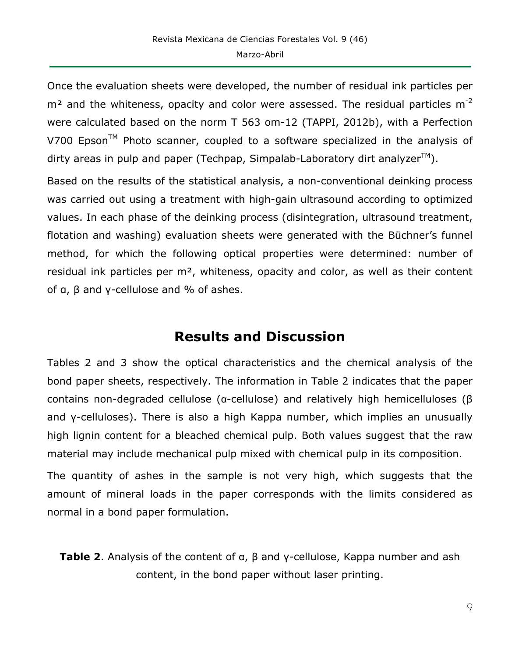Once the evaluation sheets were developed, the number of residual ink particles per  $m<sup>2</sup>$  and the whiteness, opacity and color were assessed. The residual particles  $m<sup>-2</sup>$ were calculated based on the norm T 563 om-12 (TAPPI, 2012b), with a Perfection V700 Epson<sup>™</sup> Photo scanner, coupled to a software specialized in the analysis of dirty areas in pulp and paper (Techpap, Simpalab-Laboratory dirt analyzer $TM$ ).

Based on the results of the statistical analysis, a non-conventional deinking process was carried out using a treatment with high-gain ultrasound according to optimized values. In each phase of the deinking process (disintegration, ultrasound treatment, flotation and washing) evaluation sheets were generated with the Büchner's funnel method, for which the following optical properties were determined: number of residual ink particles per m<sup>2</sup>, whiteness, opacity and color, as well as their content of  $a$ ,  $β$  and  $γ$ -cellulose and % of ashes.

# **Results and Discussion**

Tables 2 and 3 show the optical characteristics and the chemical analysis of the bond paper sheets, respectively. The information in Table 2 indicates that the paper contains non-degraded cellulose (α-cellulose) and relatively high hemicelluloses (β and γ-celluloses). There is also a high Kappa number, which implies an unusually high lignin content for a bleached chemical pulp. Both values suggest that the raw material may include mechanical pulp mixed with chemical pulp in its composition.

The quantity of ashes in the sample is not very high, which suggests that the amount of mineral loads in the paper corresponds with the limits considered as normal in a bond paper formulation.

**Table 2**. Analysis of the content of α, β and γ-cellulose, Kappa number and ash content, in the bond paper without laser printing.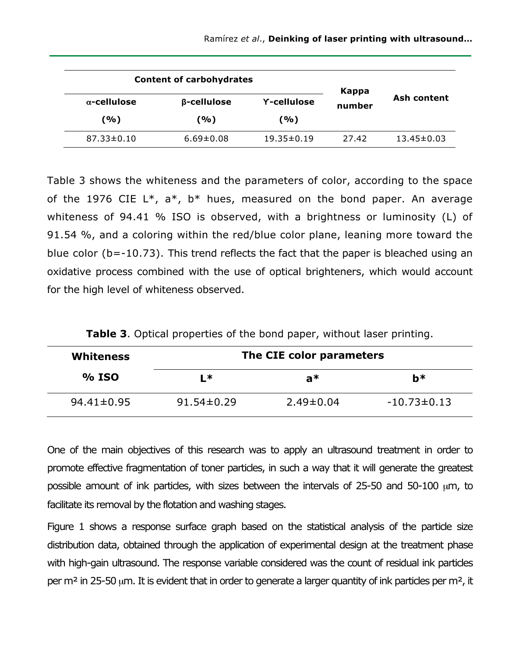|                     | <b>Content of carbohydrates</b> | Kappa              |        |                  |
|---------------------|---------------------------------|--------------------|--------|------------------|
| $\alpha$ -cellulose | $\beta$ -cellulose              | <b>Y-cellulose</b> | number | Ash content      |
| (%)                 | (%)                             | (%)                |        |                  |
| $87.33 \pm 0.10$    | $6.69 \pm 0.08$                 | $19.35 \pm 0.19$   | 27.42  | $13.45 \pm 0.03$ |

Table 3 shows the whiteness and the parameters of color, according to the space of the 1976 CIE  $L^*$ ,  $a^*$ ,  $b^*$  hues, measured on the bond paper. An average whiteness of 94.41 % ISO is observed, with a brightness or luminosity (L) of 91.54 %, and a coloring within the red/blue color plane, leaning more toward the blue color (b=-10.73). This trend reflects the fact that the paper is bleached using an oxidative process combined with the use of optical brighteners, which would account for the high level of whiteness observed.

| Table 3. Optical properties of the bond paper, without laser printing. |  |  |  |  |  |
|------------------------------------------------------------------------|--|--|--|--|--|
|------------------------------------------------------------------------|--|--|--|--|--|

| <b>Whiteness</b> | The CIE color parameters |                 |                   |  |
|------------------|--------------------------|-----------------|-------------------|--|
| % ISO            | L*                       | a*              | b*                |  |
| $94.41 \pm 0.95$ | $91.54 \pm 0.29$         | $2.49 \pm 0.04$ | $-10.73 \pm 0.13$ |  |

One of the main objectives of this research was to apply an ultrasound treatment in order to promote effective fragmentation of toner particles, in such a way that it will generate the greatest possible amount of ink particles, with sizes between the intervals of 25-50 and 50-100 µm, to facilitate its removal by the flotation and washing stages.

Figure 1 shows a response surface graph based on the statistical analysis of the particle size distribution data, obtained through the application of experimental design at the treatment phase with high-gain ultrasound. The response variable considered was the count of residual ink particles per  $m<sup>2</sup>$  in 25-50 µm. It is evident that in order to generate a larger quantity of ink particles per  $m<sup>2</sup>$ , it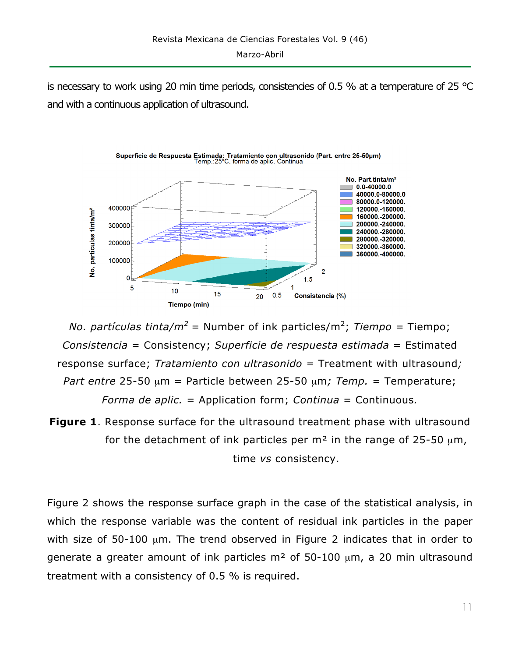is necessary to work using 20 min time periods, consistencies of 0.5 % at a temperature of 25  $^{\circ}$ C and with a continuous application of ultrasound.



*No. partículas tinta/m<sup>2</sup> =* Number of ink particles/m<sup>2</sup> ; *Tiempo =* Tiempo; *Consistencia* = Consistency; *Superficie de respuesta estimada* = Estimated response surface; *Tratamiento con ultrasonido =* Treatment with ultrasound*; Part entre* 25-50 µm = Particle between 25-50 µm*; Temp.* = Temperature; *Forma de aplic.* = Application form; *Continua* = Continuous*.*

**Figure 1**. Response surface for the ultrasound treatment phase with ultrasound for the detachment of ink particles per  $m<sup>2</sup>$  in the range of 25-50  $\mu$ m, time *vs* consistency.

Figure 2 shows the response surface graph in the case of the statistical analysis, in which the response variable was the content of residual ink particles in the paper with size of 50-100 µm. The trend observed in Figure 2 indicates that in order to generate a greater amount of ink particles  $m<sup>2</sup>$  of 50-100  $\mu$ m, a 20 min ultrasound treatment with a consistency of 0.5 % is required.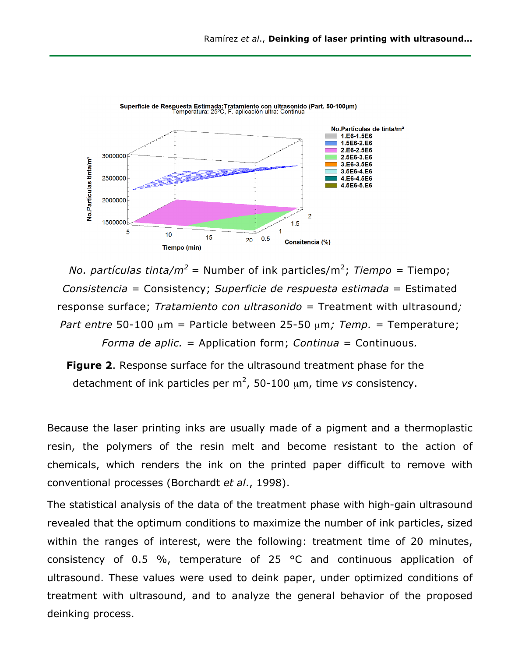

*No. partículas tinta/m<sup>2</sup> =* Number of ink particles/m<sup>2</sup> ; *Tiempo =* Tiempo; *Consistencia* = Consistency; *Superficie de respuesta estimada* = Estimated response surface; *Tratamiento con ultrasonido =* Treatment with ultrasound*; Part entre* 50-100 µm = Particle between 25-50 µm*; Temp.* = Temperature; *Forma de aplic.* = Application form; *Continua* = Continuous*.*

**Figure 2**. Response surface for the ultrasound treatment phase for the detachment of ink particles per  $m^2$ , 50-100  $\mu$ m, time *vs* consistency.

Because the laser printing inks are usually made of a pigment and a thermoplastic resin, the polymers of the resin melt and become resistant to the action of chemicals, which renders the ink on the printed paper difficult to remove with conventional processes (Borchardt *et al*., 1998).

The statistical analysis of the data of the treatment phase with high-gain ultrasound revealed that the optimum conditions to maximize the number of ink particles, sized within the ranges of interest, were the following: treatment time of 20 minutes, consistency of 0.5 %, temperature of 25 °C and continuous application of ultrasound. These values were used to deink paper, under optimized conditions of treatment with ultrasound, and to analyze the general behavior of the proposed deinking process.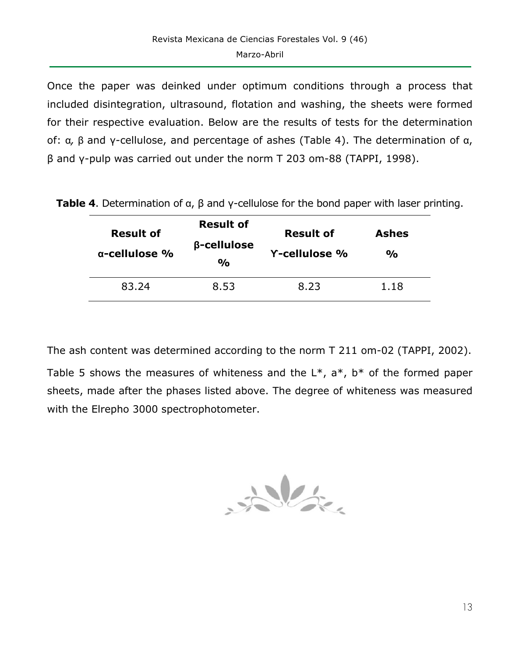Once the paper was deinked under optimum conditions through a process that included disintegration, ultrasound, flotation and washing, the sheets were formed for their respective evaluation. Below are the results of tests for the determination of: α*,* β and γ-cellulose, and percentage of ashes (Table 4). The determination of α, β and γ-pulp was carried out under the norm T 203 om-88 (TAPPI, 1998).

| <b>Result of</b><br>$\alpha$ -cellulose % | <b>Result of</b><br>β-cellulose<br>$\frac{0}{0}$ | <b>Result of</b><br><b>Y-cellulose %</b> | <b>Ashes</b><br>$\frac{0}{0}$ |
|-------------------------------------------|--------------------------------------------------|------------------------------------------|-------------------------------|
| 83.24                                     | 8.53                                             | 8.23                                     | 1.18                          |

**Table 4**. Determination of α, β and γ-cellulose for the bond paper with laser printing.

The ash content was determined according to the norm T 211 om-02 (TAPPI, 2002). Table 5 shows the measures of whiteness and the  $L^*$ ,  $a^*$ ,  $b^*$  of the formed paper sheets, made after the phases listed above. The degree of whiteness was measured with the Elrepho 3000 spectrophotometer.

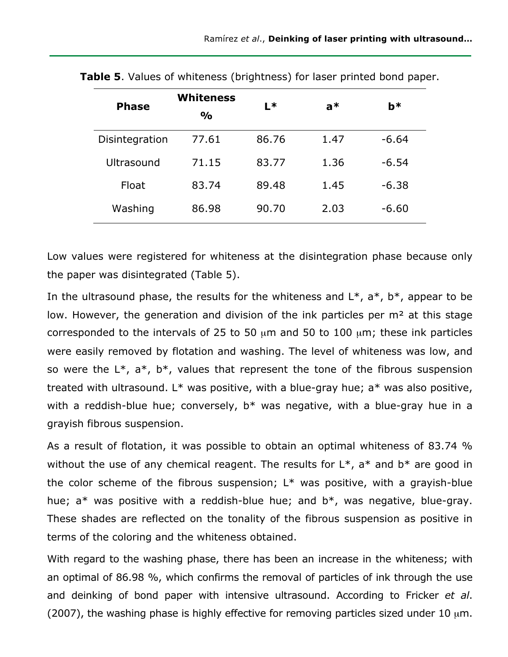| <b>Phase</b>   | <b>Whiteness</b><br>$\frac{1}{2}$ | $L*$  | $a^*$ | <b>b</b> * |
|----------------|-----------------------------------|-------|-------|------------|
| Disintegration | 77.61                             | 86.76 | 1.47  | $-6.64$    |
| Ultrasound     | 71.15                             | 83.77 | 1.36  | $-6.54$    |
| Float          | 83.74                             | 89.48 | 1.45  | $-6.38$    |
| Washing        | 86.98                             | 90.70 | 2.03  | $-6.60$    |

**Table 5**. Values of whiteness (brightness) for laser printed bond paper.

Low values were registered for whiteness at the disintegration phase because only the paper was disintegrated (Table 5).

In the ultrasound phase, the results for the whiteness and  $L^*$ ,  $a^*$ ,  $b^*$ , appear to be low. However, the generation and division of the ink particles per m<sup>2</sup> at this stage corresponded to the intervals of 25 to 50  $\mu$ m and 50 to 100  $\mu$ m; these ink particles were easily removed by flotation and washing. The level of whiteness was low, and so were the  $L^*$ ,  $a^*$ ,  $b^*$ , values that represent the tone of the fibrous suspension treated with ultrasound.  $L^*$  was positive, with a blue-gray hue;  $a^*$  was also positive, with a reddish-blue hue; conversely,  $b^*$  was negative, with a blue-gray hue in a grayish fibrous suspension.

As a result of flotation, it was possible to obtain an optimal whiteness of 83.74 % without the use of any chemical reagent. The results for  $L^*$ ,  $a^*$  and  $b^*$  are good in the color scheme of the fibrous suspension;  $L^*$  was positive, with a grayish-blue hue;  $a^*$  was positive with a reddish-blue hue; and  $b^*$ , was negative, blue-gray. These shades are reflected on the tonality of the fibrous suspension as positive in terms of the coloring and the whiteness obtained.

With regard to the washing phase, there has been an increase in the whiteness; with an optimal of 86.98 %, which confirms the removal of particles of ink through the use and deinking of bond paper with intensive ultrasound. According to Fricker *et al*. (2007), the washing phase is highly effective for removing particles sized under 10  $\mu$ m.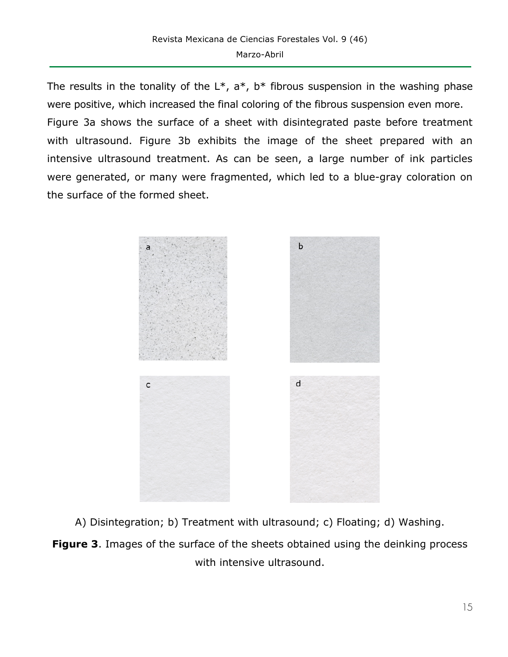The results in the tonality of the  $L^*$ ,  $a^*$ ,  $b^*$  fibrous suspension in the washing phase were positive, which increased the final coloring of the fibrous suspension even more. Figure 3a shows the surface of a sheet with disintegrated paste before treatment with ultrasound. Figure 3b exhibits the image of the sheet prepared with an intensive ultrasound treatment. As can be seen, a large number of ink particles were generated, or many were fragmented, which led to a blue-gray coloration on the surface of the formed sheet.



A) Disintegration; b) Treatment with ultrasound; c) Floating; d) Washing.

**Figure 3**. Images of the surface of the sheets obtained using the deinking process with intensive ultrasound.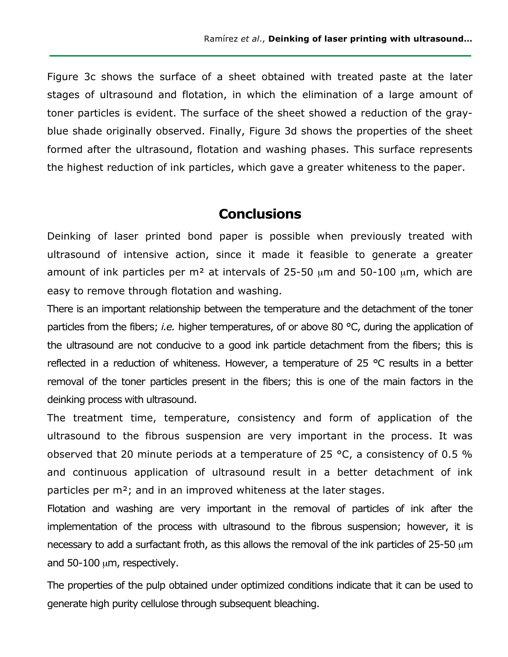Figure 3c shows the surface of a sheet obtained with treated paste at the later stages of ultrasound and flotation, in which the elimination of a large amount of toner particles is evident. The surface of the sheet showed a reduction of the grayblue shade originally observed. Finally, Figure 3d shows the properties of the sheet formed after the ultrasound, flotation and washing phases. This surface represents the highest reduction of ink particles, which gave a greater whiteness to the paper.

### **Conclusions**

Deinking of laser printed bond paper is possible when previously treated with ultrasound of intensive action, since it made it feasible to generate a greater amount of ink particles per m<sup>2</sup> at intervals of 25-50  $\mu$ m and 50-100  $\mu$ m, which are easy to remove through flotation and washing.

There is an important relationship between the temperature and the detachment of the toner particles from the fibers; *i.e.* higher temperatures, of or above 80 °C, during the application of the ultrasound are not conducive to a good ink particle detachment from the fibers; this is reflected in a reduction of whiteness. However, a temperature of 25 °C results in a better removal of the toner particles present in the fibers; this is one of the main factors in the deinking process with ultrasound.

The treatment time, temperature, consistency and form of application of the ultrasound to the fibrous suspension are very important in the process. It was observed that 20 minute periods at a temperature of 25 °C, a consistency of 0.5 % and continuous application of ultrasound result in a better detachment of ink particles per m²; and in an improved whiteness at the later stages.

Flotation and washing are very important in the removal of particles of ink after the implementation of the process with ultrasound to the fibrous suspension; however, it is necessary to add a surfactant froth, as this allows the removal of the ink particles of 25-50  $\mu$ m and 50-100 um, respectively.

The properties of the pulp obtained under optimized conditions indicate that it can be used to generate high purity cellulose through subsequent bleaching.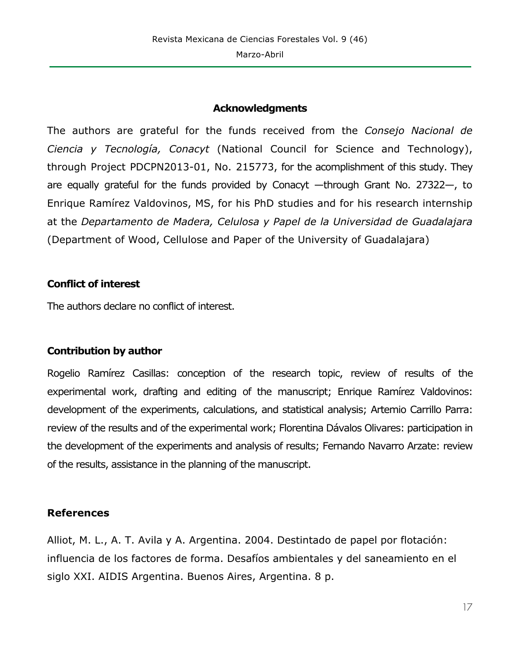#### **Acknowledgments**

The authors are grateful for the funds received from the *Consejo Nacional de Ciencia y Tecnología, Conacyt* (National Council for Science and Technology), through Project PDCPN2013-01, No. 215773, for the acomplishment of this study. They are equally grateful for the funds provided by Conacyt —through Grant No. 27322—, to Enrique Ramírez Valdovinos, MS, for his PhD studies and for his research internship at the *Departamento de Madera, Celulosa y Papel de la Universidad de Guadalajara*  (Department of Wood, Cellulose and Paper of the University of Guadalajara)

#### **Conflict of interest**

The authors declare no conflict of interest.

### **Contribution by author**

Rogelio Ramírez Casillas: conception of the research topic, review of results of the experimental work, drafting and editing of the manuscript; Enrique Ramírez Valdovinos: development of the experiments, calculations, and statistical analysis; Artemio Carrillo Parra: review of the results and of the experimental work; Florentina Dávalos Olivares: participation in the development of the experiments and analysis of results; Fernando Navarro Arzate: review of the results, assistance in the planning of the manuscript.

### **References**

Alliot, M. L., A. T. Avila y A. Argentina. 2004. Destintado de papel por flotación: influencia de los factores de forma. Desafíos ambientales y del saneamiento en el siglo XXI. AIDIS Argentina. Buenos Aires, Argentina. 8 p.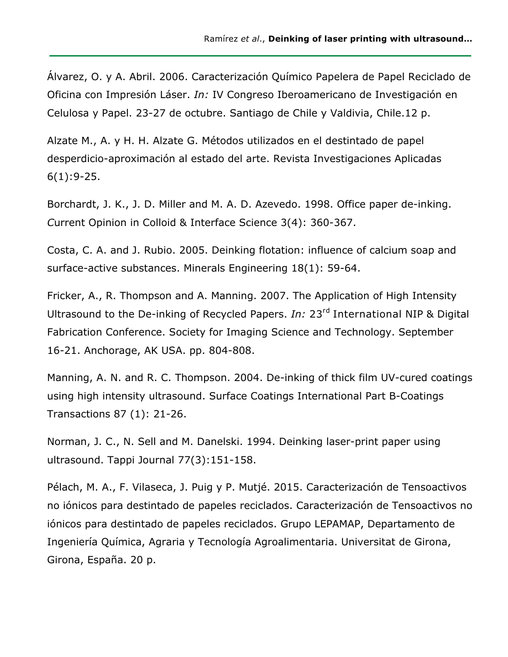Álvarez, O. y A. Abril. 2006. Caracterización Químico Papelera de Papel Reciclado de Oficina con Impresión Láser. *In:* IV Congreso Iberoamericano de Investigación en Celulosa y Papel. 23-27 de octubre. Santiago de Chile y Valdivia, Chile.12 p.

Alzate M., A. y H. H. Alzate G. Métodos utilizados en el destintado de papel desperdicio-aproximación al estado del arte. Revista Investigaciones Aplicadas 6(1):9-25.

Borchardt, J. K., J. D. Miller and M. A. D. Azevedo. 1998. Office paper de-inking. *C*urrent Opinion in Colloid & Interface Science 3(4): 360-367.

Costa, C. A. and J. Rubio. 2005. Deinking flotation: influence of calcium soap and surface-active substances. Minerals Engineering 18(1): 59-64.

Fricker, A., R. Thompson and A. Manning. 2007. The Application of High Intensity Ultrasound to the De-inking of Recycled Papers. *In:* 23rd International NIP & Digital Fabrication Conference. Society for Imaging Science and Technology. September 16-21. Anchorage, AK USA. pp. 804-808.

Manning, A. N. and R. C. Thompson. 2004. De-inking of thick film UV-cured coatings using high intensity ultrasound. Surface Coatings International Part B-Coatings Transactions 87 (1): 21-26.

Norman, J. C., N. Sell and M. Danelski. 1994. Deinking laser-print paper using ultrasound. Tappi Journal 77(3):151-158.

Pélach, M. A., F. Vilaseca, J. Puig y P. Mutjé. 2015. Caracterización de Tensoactivos no iónicos para destintado de papeles reciclados. Caracterización de Tensoactivos no iónicos para destintado de papeles reciclados. Grupo LEPAMAP, Departamento de Ingeniería Química, Agraria y Tecnología Agroalimentaria. Universitat de Girona, Girona, España. 20 p.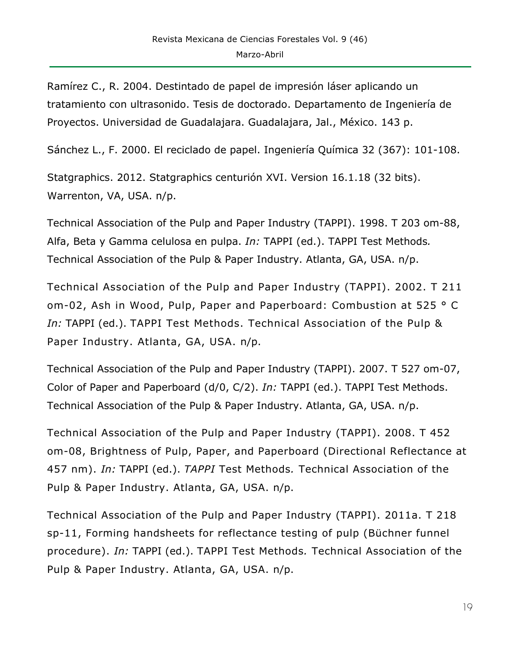Ramírez C., R. 2004. Destintado de papel de impresión láser aplicando un tratamiento con ultrasonido. Tesis de doctorado. Departamento de Ingeniería de Proyectos. Universidad de Guadalajara. Guadalajara, Jal., México. 143 p.

Sánchez L., F. 2000. El reciclado de papel. Ingeniería Química 32 (367): 101-108.

Statgraphics. 2012. Statgraphics centurión XVI. Version 16.1.18 (32 bits). Warrenton, VA, USA. n/p.

Technical Association of the Pulp and Paper Industry (TAPPI). 1998. T 203 om-88, Alfa, Beta y Gamma celulosa en pulpa. *In:* TAPPI (ed.). TAPPI Test Methods*.* Technical Association of the Pulp & Paper Industry. Atlanta, GA, USA. n/p.

Technical Association of the Pulp and Paper Industry (TAPPI). 2002. T 211 om-02, Ash in Wood, Pulp, Paper and Paperboard: Combustion at 525 ° C *In:* TAPPI (ed.). TAPPI Test Methods. Technical Association of the Pulp & Paper Industry. Atlanta, GA, USA. n/p.

Technical Association of the Pulp and Paper Industry (TAPPI). 2007. T 527 om-07, Color of Paper and Paperboard (d/0, C/2). *In:* TAPPI (ed.). TAPPI Test Methods. Technical Association of the Pulp & Paper Industry. Atlanta, GA, USA. n/p.

Technical Association of the Pulp and Paper Industry (TAPPI). 2008. T 452 om-08, Brightness of Pulp, Paper, and Paperboard (Directional Reflectance at 457 nm). *In:* TAPPI (ed.). *TAPPI* Test Methods*.* Technical Association of the Pulp & Paper Industry. Atlanta, GA, USA. n/p.

Technical Association of the Pulp and Paper Industry (TAPPI). 2011a. T 218 sp-11, Forming handsheets for reflectance testing of pulp (Büchner funnel procedure). *In:* TAPPI (ed.). TAPPI Test Methods*.* Technical Association of the Pulp & Paper Industry. Atlanta, GA, USA. n/p.